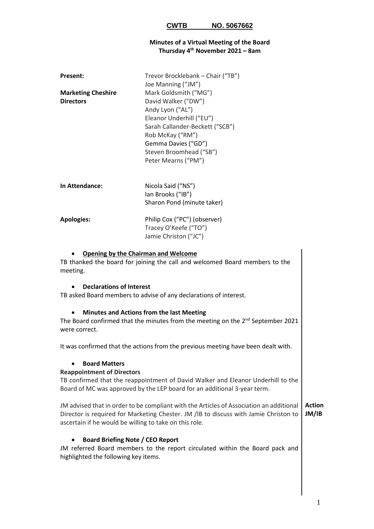## **Minutes of a Virtual Meeting of the Board Thursday 4 th November 2021 – 8am**

| Present:<br><b>Marketing Cheshire</b><br><b>Directors</b>                                                                                                                                                                                  | Trevor Brocklebank - Chair ("TB")<br>Joe Manning ("JM")<br>Mark Goldsmith ("MG")<br>David Walker ("DW")<br>Andy Lyon ("AL")<br>Eleanor Underhill ("EU")<br>Sarah Callander-Beckett ("SCB")<br>Rob McKay ("RM")<br>Gemma Davies ("GD")<br>Steven Broomhead ("SB")<br>Peter Mearns ("PM") |  |
|--------------------------------------------------------------------------------------------------------------------------------------------------------------------------------------------------------------------------------------------|-----------------------------------------------------------------------------------------------------------------------------------------------------------------------------------------------------------------------------------------------------------------------------------------|--|
| In Attendance:                                                                                                                                                                                                                             | Nicola Said ("NS")<br>lan Brooks ("IB")<br>Sharon Pond (minute taker)                                                                                                                                                                                                                   |  |
| <b>Apologies:</b>                                                                                                                                                                                                                          | Philip Cox ("PC") (observer)<br>Tracey O'Keefe ("TO")<br>Jamie Christon ("JC")                                                                                                                                                                                                          |  |
| <b>Opening by the Chairman and Welcome</b><br>meeting.                                                                                                                                                                                     | TB thanked the board for joining the call and welcomed Board members to the                                                                                                                                                                                                             |  |
| <b>Declarations of Interest</b>                                                                                                                                                                                                            | TB asked Board members to advise of any declarations of interest.                                                                                                                                                                                                                       |  |
| were correct.                                                                                                                                                                                                                              | <b>Minutes and Actions from the last Meeting</b><br>The Board confirmed that the minutes from the meeting on the $2^{nd}$ September 2021                                                                                                                                                |  |
|                                                                                                                                                                                                                                            | It was confirmed that the actions from the previous meeting have been dealt with.                                                                                                                                                                                                       |  |
| <b>Board Matters</b><br><b>Reappointment of Directors</b>                                                                                                                                                                                  | TB confirmed that the reappointment of David Walker and Eleanor Underhill to the<br>Board of MC was approved by the LEP board for an additional 3-year term.                                                                                                                            |  |
| JM advised that in order to be compliant with the Articles of Association an additional<br>Director is required for Marketing Chester. JM / IB to discuss with Jamie Christon to<br>ascertain if he would be willing to take on this role. |                                                                                                                                                                                                                                                                                         |  |
| <b>Board Briefing Note / CEO Report</b><br>highlighted the following key items.                                                                                                                                                            | JM referred Board members to the report circulated within the Board pack and                                                                                                                                                                                                            |  |
|                                                                                                                                                                                                                                            |                                                                                                                                                                                                                                                                                         |  |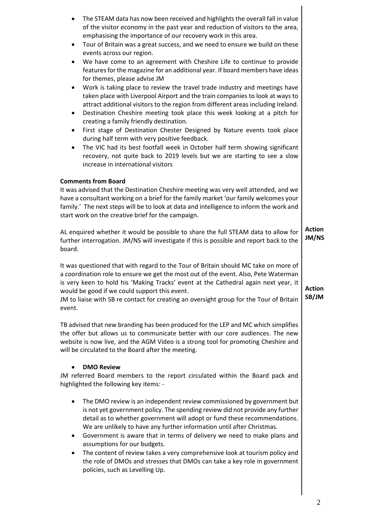| The STEAM data has now been received and highlights the overall fall in value                                                                                                                                                                                                                                                                                                                                                  |                        |
|--------------------------------------------------------------------------------------------------------------------------------------------------------------------------------------------------------------------------------------------------------------------------------------------------------------------------------------------------------------------------------------------------------------------------------|------------------------|
| of the visitor economy in the past year and reduction of visitors to the area,<br>emphasising the importance of our recovery work in this area.<br>Tour of Britain was a great success, and we need to ensure we build on these<br>٠                                                                                                                                                                                           |                        |
| events across our region.<br>We have come to an agreement with Cheshire Life to continue to provide<br>$\bullet$<br>features for the magazine for an additional year. If board members have ideas<br>for themes, please advise JM                                                                                                                                                                                              |                        |
| Work is taking place to review the travel trade industry and meetings have<br>٠<br>taken place with Liverpool Airport and the train companies to look at ways to<br>attract additional visitors to the region from different areas including Ireland.<br>Destination Cheshire meeting took place this week looking at a pitch for<br>$\bullet$<br>creating a family friendly destination.                                      |                        |
| First stage of Destination Chester Designed by Nature events took place<br>٠<br>during half term with very positive feedback.<br>The VIC had its best footfall week in October half term showing significant<br>$\bullet$<br>recovery, not quite back to 2019 levels but we are starting to see a slow<br>increase in international visitors                                                                                   |                        |
| <b>Comments from Board</b><br>It was advised that the Destination Cheshire meeting was very well attended, and we<br>have a consultant working on a brief for the family market 'our family welcomes your<br>family.' The next steps will be to look at data and intelligence to inform the work and<br>start work on the creative brief for the campaign.                                                                     |                        |
| AL enquired whether it would be possible to share the full STEAM data to allow for<br>further interrogation. JM/NS will investigate if this is possible and report back to the<br>board.                                                                                                                                                                                                                                       | <b>Action</b><br>JM/NS |
| It was questioned that with regard to the Tour of Britain should MC take on more of<br>a coordination role to ensure we get the most out of the event. Also, Pete Waterman<br>is very keen to hold his 'Making Tracks' event at the Cathedral again next year, it<br>would be good if we could support this event.<br>JM to liaise with SB re contact for creating an oversight group for the Tour of Britain<br>event.        | <b>Action</b><br>SB/JM |
| TB advised that new branding has been produced for the LEP and MC which simplifies<br>the offer but allows us to communicate better with our core audiences. The new<br>website is now live, and the AGM Video is a strong tool for promoting Cheshire and<br>will be circulated to the Board after the meeting.                                                                                                               |                        |
| <b>DMO Review</b><br>JM referred Board members to the report circulated within the Board pack and<br>highlighted the following key items: -                                                                                                                                                                                                                                                                                    |                        |
| The DMO review is an independent review commissioned by government but<br>٠<br>is not yet government policy. The spending review did not provide any further<br>detail as to whether government will adopt or fund these recommendations.<br>We are unlikely to have any further information until after Christmas.<br>Government is aware that in terms of delivery we need to make plans and<br>assumptions for our budgets. |                        |
| The content of review takes a very comprehensive look at tourism policy and<br>the role of DMOs and stresses that DMOs can take a key role in government<br>policies, such as Levelling Up.                                                                                                                                                                                                                                    |                        |

 $\overline{\phantom{a}}$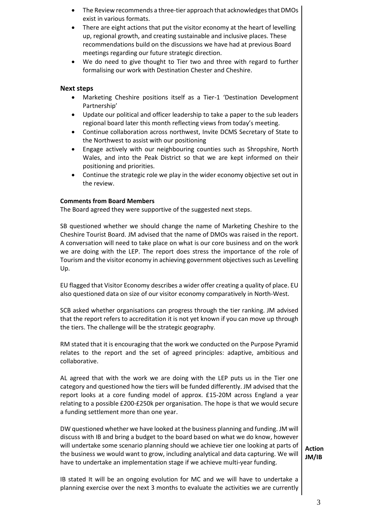- The Review recommends a three-tier approach that acknowledges that DMOs exist in various formats.
- There are eight actions that put the visitor economy at the heart of levelling up, regional growth, and creating sustainable and inclusive places. These recommendations build on the discussions we have had at previous Board meetings regarding our future strategic direction.
- We do need to give thought to Tier two and three with regard to further formalising our work with Destination Chester and Cheshire.

## **Next steps**

- Marketing Cheshire positions itself as a Tier-1 'Destination Development Partnership'
- Update our political and officer leadership to take a paper to the sub leaders regional board later this month reflecting views from today's meeting.
- Continue collaboration across northwest, Invite DCMS Secretary of State to the Northwest to assist with our positioning
- Engage actively with our neighbouring counties such as Shropshire, North Wales, and into the Peak District so that we are kept informed on their positioning and priorities.
- Continue the strategic role we play in the wider economy objective set out in the review.

## **Comments from Board Members**

The Board agreed they were supportive of the suggested next steps.

SB questioned whether we should change the name of Marketing Cheshire to the Cheshire Tourist Board. JM advised that the name of DMOs was raised in the report. A conversation will need to take place on what is our core business and on the work we are doing with the LEP. The report does stress the importance of the role of Tourism and the visitor economy in achieving government objectives such as Levelling Up.

EU flagged that Visitor Economy describes a wider offer creating a quality of place. EU also questioned data on size of our visitor economy comparatively in North-West.

SCB asked whether organisations can progress through the tier ranking. JM advised that the report refers to accreditation it is not yet known if you can move up through the tiers. The challenge will be the strategic geography.

RM stated that it is encouraging that the work we conducted on the Purpose Pyramid relates to the report and the set of agreed principles: adaptive, ambitious and collaborative.

AL agreed that with the work we are doing with the LEP puts us in the Tier one category and questioned how the tiers will be funded differently. JM advised that the report looks at a core funding model of approx. £15-20M across England a year relating to a possible £200-£250k per organisation. The hope is that we would secure a funding settlement more than one year.

DW questioned whether we have looked at the business planning and funding. JM will discuss with IB and bring a budget to the board based on what we do know, however will undertake some scenario planning should we achieve tier one looking at parts of the business we would want to grow, including analytical and data capturing. We will have to undertake an implementation stage if we achieve multi-year funding.

IB stated It will be an ongoing evolution for MC and we will have to undertake a planning exercise over the next 3 months to evaluate the activities we are currently

**Action JM/IB**